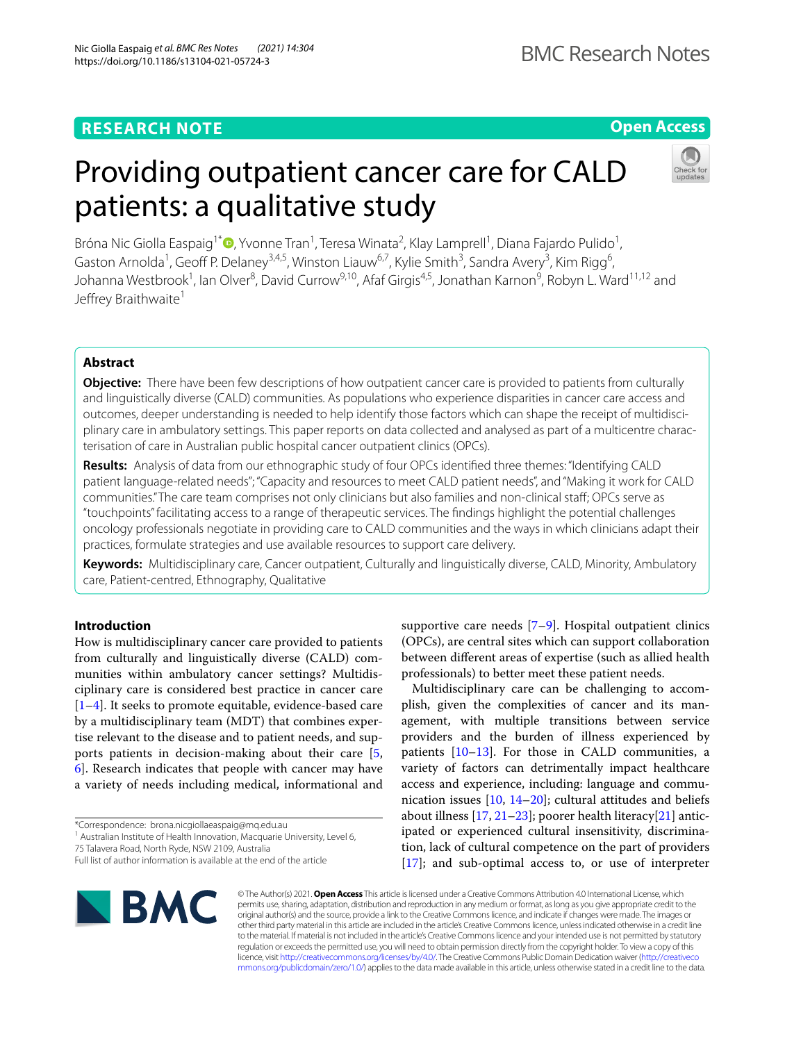# **RESEARCH NOTE**

# **Open Access**

# Providing outpatient cancer care for CALD patients: a qualitative study



Bróna Nic Giolla Easpaig<sup>1[\\*](http://orcid.org/0000-0001-6787-056X)</sup>®, Yvonne Tran<sup>1</sup>, Teresa Winata<sup>2</sup>, Klay Lamprell<sup>1</sup>, Diana Fajardo Pulido<sup>1</sup>, Gaston Arnolda<sup>1</sup>, Geoff P. Delaney<sup>3,4,5</sup>, Winston Liauw<sup>6,7</sup>, Kylie Smith<sup>3</sup>, Sandra Avery<sup>3</sup>, Kim Rigg<sup>6</sup>, Johanna Westbrook<sup>1</sup>, Ian Olver<sup>8</sup>, David Currow<sup>9,10</sup>, Afaf Girgis<sup>4,5</sup>, Jonathan Karnon<sup>9</sup>, Robyn L. Ward<sup>11,12</sup> and Jeffrey Braithwaite<sup>1</sup>

# **Abstract**

**Objective:** There have been few descriptions of how outpatient cancer care is provided to patients from culturally and linguistically diverse (CALD) communities. As populations who experience disparities in cancer care access and outcomes, deeper understanding is needed to help identify those factors which can shape the receipt of multidisciplinary care in ambulatory settings. This paper reports on data collected and analysed as part of a multicentre characterisation of care in Australian public hospital cancer outpatient clinics (OPCs).

**Results:** Analysis of data from our ethnographic study of four OPCs identifed three themes: "Identifying CALD patient language-related needs"; "Capacity and resources to meet CALD patient needs", and "Making it work for CALD communities." The care team comprises not only clinicians but also families and non-clinical staf; OPCs serve as "touchpoints" facilitating access to a range of therapeutic services. The fndings highlight the potential challenges oncology professionals negotiate in providing care to CALD communities and the ways in which clinicians adapt their practices, formulate strategies and use available resources to support care delivery.

**Keywords:** Multidisciplinary care, Cancer outpatient, Culturally and linguistically diverse, CALD, Minority, Ambulatory care, Patient-centred, Ethnography, Qualitative

# **Introduction**

How is multidisciplinary cancer care provided to patients from culturally and linguistically diverse (CALD) communities within ambulatory cancer settings? Multidisciplinary care is considered best practice in cancer care [[1–](#page-6-0)[4\]](#page-6-1). It seeks to promote equitable, evidence-based care by a multidisciplinary team (MDT) that combines expertise relevant to the disease and to patient needs, and supports patients in decision-making about their care [\[5](#page-6-2), [6\]](#page-6-3). Research indicates that people with cancer may have a variety of needs including medical, informational and

75 Talavera Road, North Ryde, NSW 2109, Australia

supportive care needs [\[7](#page-6-4)[–9](#page-6-5)]. Hospital outpatient clinics (OPCs), are central sites which can support collaboration between diferent areas of expertise (such as allied health professionals) to better meet these patient needs.

Multidisciplinary care can be challenging to accomplish, given the complexities of cancer and its management, with multiple transitions between service providers and the burden of illness experienced by patients  $[10-13]$  $[10-13]$  $[10-13]$ . For those in CALD communities, a variety of factors can detrimentally impact healthcare access and experience, including: language and communication issues [\[10](#page-6-6), [14–](#page-6-8)[20](#page-6-9)]; cultural attitudes and beliefs about illness  $[17, 21-23]$  $[17, 21-23]$  $[17, 21-23]$ ; poorer health literacy $[21]$  $[21]$  anticipated or experienced cultural insensitivity, discrimination, lack of cultural competence on the part of providers [[17\]](#page-6-10); and sub-optimal access to, or use of interpreter



© The Author(s) 2021. **Open Access** This article is licensed under a Creative Commons Attribution 4.0 International License, which permits use, sharing, adaptation, distribution and reproduction in any medium or format, as long as you give appropriate credit to the original author(s) and the source, provide a link to the Creative Commons licence, and indicate if changes were made. The images or other third party material in this article are included in the article's Creative Commons licence, unless indicated otherwise in a credit line to the material. If material is not included in the article's Creative Commons licence and your intended use is not permitted by statutory regulation or exceeds the permitted use, you will need to obtain permission directly from the copyright holder. To view a copy of this licence, visit [http://creativecommons.org/licenses/by/4.0/.](http://creativecommons.org/licenses/by/4.0/) The Creative Commons Public Domain Dedication waiver ([http://creativeco](http://creativecommons.org/publicdomain/zero/1.0/) [mmons.org/publicdomain/zero/1.0/](http://creativecommons.org/publicdomain/zero/1.0/)) applies to the data made available in this article, unless otherwise stated in a credit line to the data.

<sup>\*</sup>Correspondence: brona.nicgiollaeaspaig@mq.edu.au

<sup>&</sup>lt;sup>1</sup> Australian Institute of Health Innovation, Macquarie University, Level 6,

Full list of author information is available at the end of the article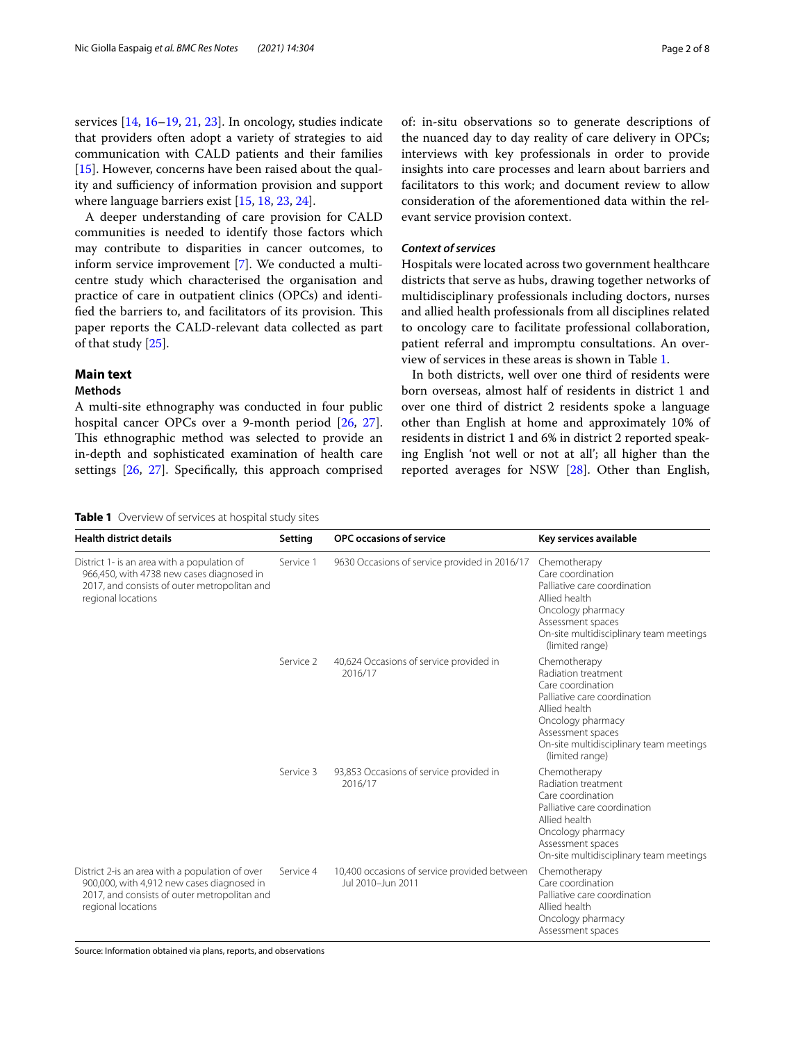services [\[14,](#page-6-8) [16–](#page-6-13)[19](#page-6-14), [21](#page-6-11), [23](#page-6-12)]. In oncology, studies indicate that providers often adopt a variety of strategies to aid communication with CALD patients and their families [[15\]](#page-6-15). However, concerns have been raised about the quality and sufficiency of information provision and support where language barriers exist [\[15](#page-6-15), [18](#page-6-16), [23,](#page-6-12) [24](#page-6-17)].

A deeper understanding of care provision for CALD communities is needed to identify those factors which may contribute to disparities in cancer outcomes, to inform service improvement [\[7\]](#page-6-4). We conducted a multicentre study which characterised the organisation and practice of care in outpatient clinics (OPCs) and identified the barriers to, and facilitators of its provision. This paper reports the CALD-relevant data collected as part of that study [\[25](#page-6-18)].

# **Main text**

# **Methods**

A multi-site ethnography was conducted in four public hospital cancer OPCs over a 9-month period [[26,](#page-6-19) [27](#page-6-20)]. This ethnographic method was selected to provide an in-depth and sophisticated examination of health care settings [\[26,](#page-6-19) [27\]](#page-6-20). Specifcally, this approach comprised of: in-situ observations so to generate descriptions of the nuanced day to day reality of care delivery in OPCs; interviews with key professionals in order to provide insights into care processes and learn about barriers and facilitators to this work; and document review to allow consideration of the aforementioned data within the relevant service provision context.

# *Context of services*

Hospitals were located across two government healthcare districts that serve as hubs, drawing together networks of multidisciplinary professionals including doctors, nurses and allied health professionals from all disciplines related to oncology care to facilitate professional collaboration, patient referral and impromptu consultations. An overview of services in these areas is shown in Table [1](#page-1-0).

In both districts, well over one third of residents were born overseas, almost half of residents in district 1 and over one third of district 2 residents spoke a language other than English at home and approximately 10% of residents in district 1 and 6% in district 2 reported speaking English 'not well or not at all'; all higher than the reported averages for NSW [[28\]](#page-6-21). Other than English,

## <span id="page-1-0"></span>**Table 1** Overview of services at hospital study sites

| <b>Health district details</b>                                                                                                                                      | Setting   | <b>OPC</b> occasions of service                                   | Key services available                                                                                                                                                                                            |
|---------------------------------------------------------------------------------------------------------------------------------------------------------------------|-----------|-------------------------------------------------------------------|-------------------------------------------------------------------------------------------------------------------------------------------------------------------------------------------------------------------|
| District 1- is an area with a population of<br>966,450, with 4738 new cases diagnosed in<br>2017, and consists of outer metropolitan and<br>regional locations      | Service 1 | 9630 Occasions of service provided in 2016/17                     | Chemotherapy<br>Care coordination<br>Palliative care coordination<br>Allied health<br>Oncology pharmacy<br>Assessment spaces<br>On-site multidisciplinary team meetings<br>(limited range)                        |
|                                                                                                                                                                     | Service 2 | 40,624 Occasions of service provided in<br>2016/17                | Chemotherapy<br>Radiation treatment<br>Care coordination<br>Palliative care coordination<br>Allied health<br>Oncology pharmacy<br>Assessment spaces<br>On-site multidisciplinary team meetings<br>(limited range) |
|                                                                                                                                                                     | Service 3 | 93,853 Occasions of service provided in<br>2016/17                | Chemotherapy<br>Radiation treatment<br>Care coordination<br>Palliative care coordination<br>Allied health<br>Oncology pharmacy<br>Assessment spaces<br>On-site multidisciplinary team meetings                    |
| District 2-is an area with a population of over<br>900,000, with 4,912 new cases diagnosed in<br>2017, and consists of outer metropolitan and<br>regional locations | Service 4 | 10,400 occasions of service provided between<br>Jul 2010-Jun 2011 | Chemotherapy<br>Care coordination<br>Palliative care coordination<br>Allied health<br>Oncology pharmacy<br>Assessment spaces                                                                                      |

Source: Information obtained via plans, reports, and observations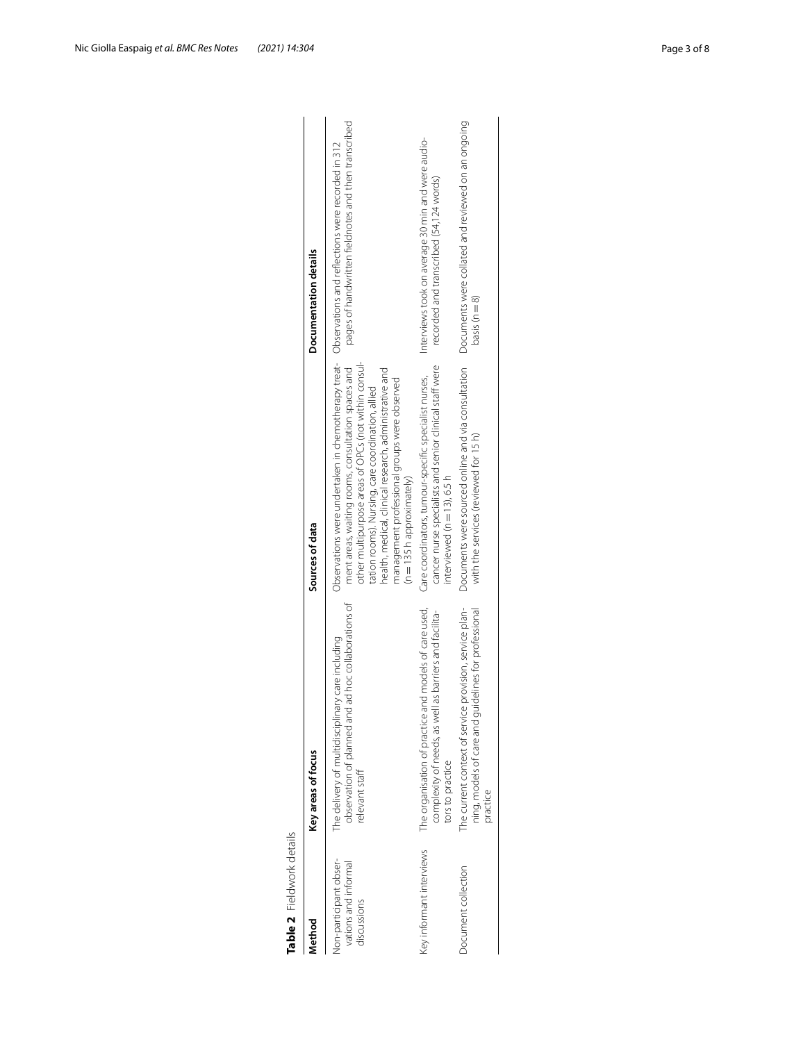| Method                                                       | Key areas of focus                                                                                                                  | Sources of data                                                                                                                                                                                                                                                                                                                                                                                                    | Documentation details                                                                        |
|--------------------------------------------------------------|-------------------------------------------------------------------------------------------------------------------------------------|--------------------------------------------------------------------------------------------------------------------------------------------------------------------------------------------------------------------------------------------------------------------------------------------------------------------------------------------------------------------------------------------------------------------|----------------------------------------------------------------------------------------------|
| on-participant obser-<br>vations and informal<br>discussions | observation of planned and ad hoc collaborations of<br>The delivery of multidisciplinary care including<br>relevant staff           | Observations were undertaken in chemotherapy treat- Observations and reflections were recorded in 312<br>other multipurpose areas of OPCs (not within consul-<br>ment areas, waiting rooms, consultation spaces and<br>health, medical, clinical research, administrative and<br>management professional groups were observed<br>tation rooms). Nursing, care coordination, allied<br>$(n = 135 h)$ approximately) | pages of handwritten fieldnotes and then transcribed                                         |
| Key informant interviews                                     | The organisation of practice and models of care used,<br>complexity of needs, as well as barriers and facilita-<br>tors to practice | cancer nurse specialists and senior clinical staff were<br>Care coordinators, tumour-specific specialist nurses,<br>interviewed ( $n = 13$ ), 6.5 h                                                                                                                                                                                                                                                                | Interviews took on average 30 min and were audio-<br>recorded and transcribed (54,124 words) |
| Document collection                                          | The current context of service provision, service plan-<br>ning, models of care and guidelines for professional<br>practice         | Documents were sourced online and via consultation<br>with the services (reviewed for 15 h)                                                                                                                                                                                                                                                                                                                        | Documents were collated and reviewed on an ongoing<br>basis ( $n = 8$ )                      |

<span id="page-2-0"></span>

| ŗ       |
|---------|
| ï       |
| نہ<br>ح |
|         |
|         |
|         |
|         |
|         |
| ⊃       |
|         |
| g       |
|         |
|         |
| г       |
| υ       |
|         |
|         |
|         |
|         |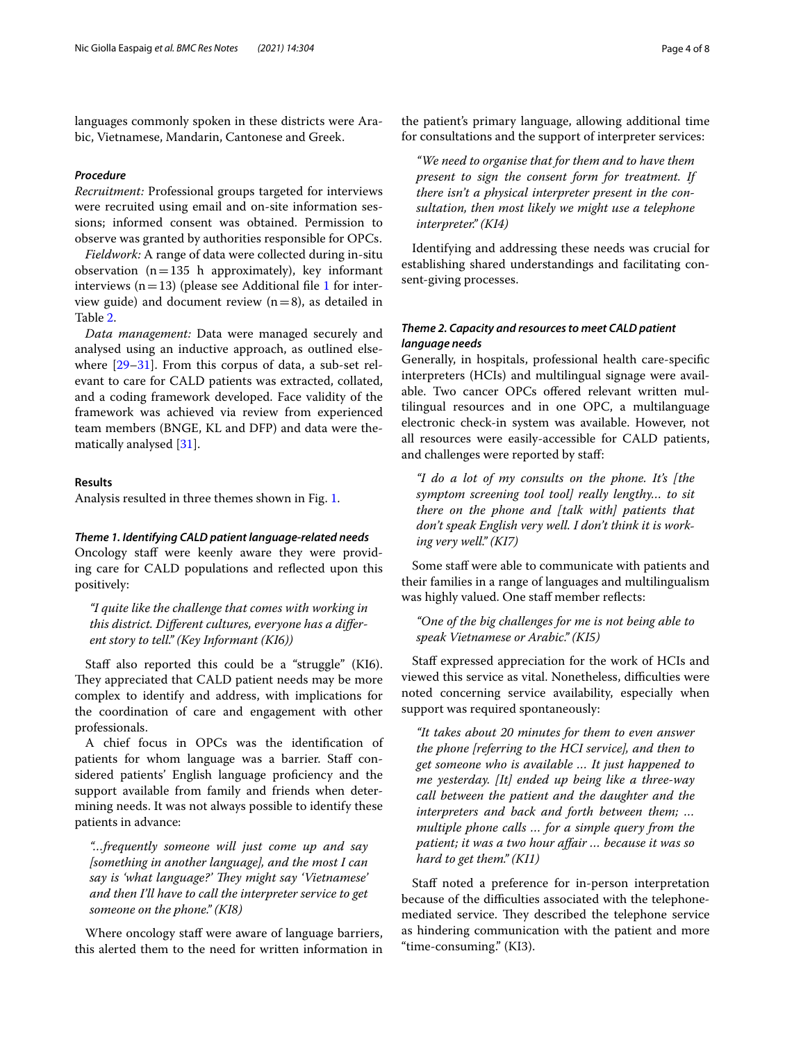languages commonly spoken in these districts were Arabic, Vietnamese, Mandarin, Cantonese and Greek.

### *Procedure*

*Recruitment:* Professional groups targeted for interviews were recruited using email and on-site information sessions; informed consent was obtained. Permission to observe was granted by authorities responsible for OPCs.

*Fieldwork:* A range of data were collected during in-situ observation  $(n=135$  h approximately), key informant interviews ( $n=13$  $n=13$  $n=13$ ) (please see Additional file 1 for interview guide) and document review  $(n=8)$ , as detailed in Table [2](#page-2-0).

*Data management:* Data were managed securely and analysed using an inductive approach, as outlined elsewhere [[29](#page-6-22)[–31](#page-6-23)]. From this corpus of data, a sub-set relevant to care for CALD patients was extracted, collated, and a coding framework developed. Face validity of the framework was achieved via review from experienced team members (BNGE, KL and DFP) and data were thematically analysed [[31\]](#page-6-23).

# **Results**

Analysis resulted in three themes shown in Fig. [1.](#page-4-0)

## *Theme 1. Identifying CALD patient language‑related needs*

Oncology staff were keenly aware they were providing care for CALD populations and refected upon this positively:

*"I quite like the challenge that comes with working in this district. Diferent cultures, everyone has a diferent story to tell." (Key Informant (KI6))*

Staff also reported this could be a "struggle" (KI6). They appreciated that CALD patient needs may be more complex to identify and address, with implications for the coordination of care and engagement with other professionals.

A chief focus in OPCs was the identifcation of patients for whom language was a barrier. Staff considered patients' English language proficiency and the support available from family and friends when determining needs. It was not always possible to identify these patients in advance:

*"…frequently someone will just come up and say [something in another language], and the most I can*  say is 'what language?' They might say 'Vietnamese' *and then I'll have to call the interpreter service to get someone on the phone." (KI8)*

Where oncology staff were aware of language barriers, this alerted them to the need for written information in

the patient's primary language, allowing additional time for consultations and the support of interpreter services:

*"We need to organise that for them and to have them present to sign the consent form for treatment. If there isn't a physical interpreter present in the consultation, then most likely we might use a telephone interpreter." (KI4)*

Identifying and addressing these needs was crucial for establishing shared understandings and facilitating consent-giving processes.

# *Theme 2. Capacity and resources to meet CALD patient language needs*

Generally, in hospitals, professional health care-specifc interpreters (HCIs) and multilingual signage were available. Two cancer OPCs ofered relevant written multilingual resources and in one OPC, a multilanguage electronic check-in system was available. However, not all resources were easily-accessible for CALD patients, and challenges were reported by staf:

*"I do a lot of my consults on the phone. It's [the symptom screening tool tool] really lengthy… to sit there on the phone and [talk with] patients that don't speak English very well. I don't think it is working very well." (KI7)*

Some staff were able to communicate with patients and their families in a range of languages and multilingualism was highly valued. One staff member reflects:

*"One of the big challenges for me is not being able to speak Vietnamese or Arabic." (KI5)*

Staff expressed appreciation for the work of HCIs and viewed this service as vital. Nonetheless, difficulties were noted concerning service availability, especially when support was required spontaneously:

*"It takes about 20 minutes for them to even answer the phone [referring to the HCI service], and then to get someone who is available … It just happened to me yesterday. [It] ended up being like a three-way call between the patient and the daughter and the interpreters and back and forth between them; … multiple phone calls … for a simple query from the patient; it was a two hour afair … because it was so hard to get them." (KI1)*

Staff noted a preference for in-person interpretation because of the difficulties associated with the telephonemediated service. They described the telephone service as hindering communication with the patient and more "time-consuming." (KI3).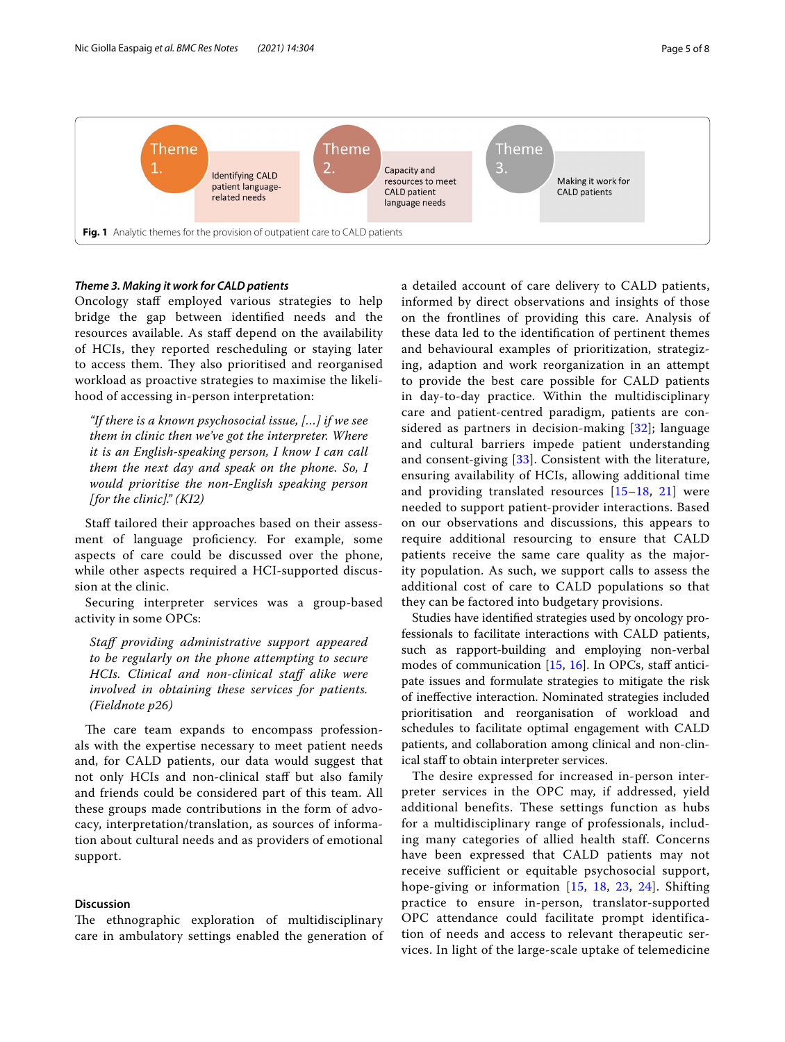

# <span id="page-4-0"></span>*Theme 3. Making it work for CALD patients*

Oncology staff employed various strategies to help bridge the gap between identifed needs and the resources available. As staff depend on the availability of HCIs, they reported rescheduling or staying later to access them. They also prioritised and reorganised workload as proactive strategies to maximise the likelihood of accessing in-person interpretation:

*"If there is a known psychosocial issue, […] if we see them in clinic then we've got the interpreter. Where it is an English-speaking person, I know I can call them the next day and speak on the phone. So, I would prioritise the non-English speaking person [for the clinic]." (KI2)*

Staff tailored their approaches based on their assessment of language proficiency. For example, some aspects of care could be discussed over the phone, while other aspects required a HCI-supported discussion at the clinic.

Securing interpreter services was a group-based activity in some OPCs:

*Staf providing administrative support appeared to be regularly on the phone attempting to secure HCIs. Clinical and non-clinical staf alike were involved in obtaining these services for patients. (Fieldnote p26)*

The care team expands to encompass professionals with the expertise necessary to meet patient needs and, for CALD patients, our data would suggest that not only HCIs and non-clinical staf but also family and friends could be considered part of this team. All these groups made contributions in the form of advocacy, interpretation/translation, as sources of information about cultural needs and as providers of emotional support.

# **Discussion**

The ethnographic exploration of multidisciplinary care in ambulatory settings enabled the generation of a detailed account of care delivery to CALD patients, informed by direct observations and insights of those on the frontlines of providing this care. Analysis of these data led to the identifcation of pertinent themes and behavioural examples of prioritization, strategizing, adaption and work reorganization in an attempt to provide the best care possible for CALD patients in day-to-day practice. Within the multidisciplinary care and patient-centred paradigm, patients are considered as partners in decision-making  $[32]$ ; language and cultural barriers impede patient understanding and consent-giving [[33\]](#page-7-0). Consistent with the literature, ensuring availability of HCIs, allowing additional time and providing translated resources [[15–](#page-6-15)[18,](#page-6-16) [21](#page-6-11)] were needed to support patient-provider interactions. Based on our observations and discussions, this appears to require additional resourcing to ensure that CALD patients receive the same care quality as the majority population. As such, we support calls to assess the additional cost of care to CALD populations so that they can be factored into budgetary provisions.

Studies have identifed strategies used by oncology professionals to facilitate interactions with CALD patients, such as rapport-building and employing non-verbal modes of communication  $[15, 16]$  $[15, 16]$  $[15, 16]$ . In OPCs, staff anticipate issues and formulate strategies to mitigate the risk of inefective interaction. Nominated strategies included prioritisation and reorganisation of workload and schedules to facilitate optimal engagement with CALD patients, and collaboration among clinical and non-clinical staff to obtain interpreter services.

The desire expressed for increased in-person interpreter services in the OPC may, if addressed, yield additional benefits. These settings function as hubs for a multidisciplinary range of professionals, including many categories of allied health staff. Concerns have been expressed that CALD patients may not receive sufficient or equitable psychosocial support, hope-giving or information [[15](#page-6-15), [18](#page-6-16), [23,](#page-6-12) [24\]](#page-6-17). Shifting practice to ensure in-person, translator-supported OPC attendance could facilitate prompt identification of needs and access to relevant therapeutic services. In light of the large-scale uptake of telemedicine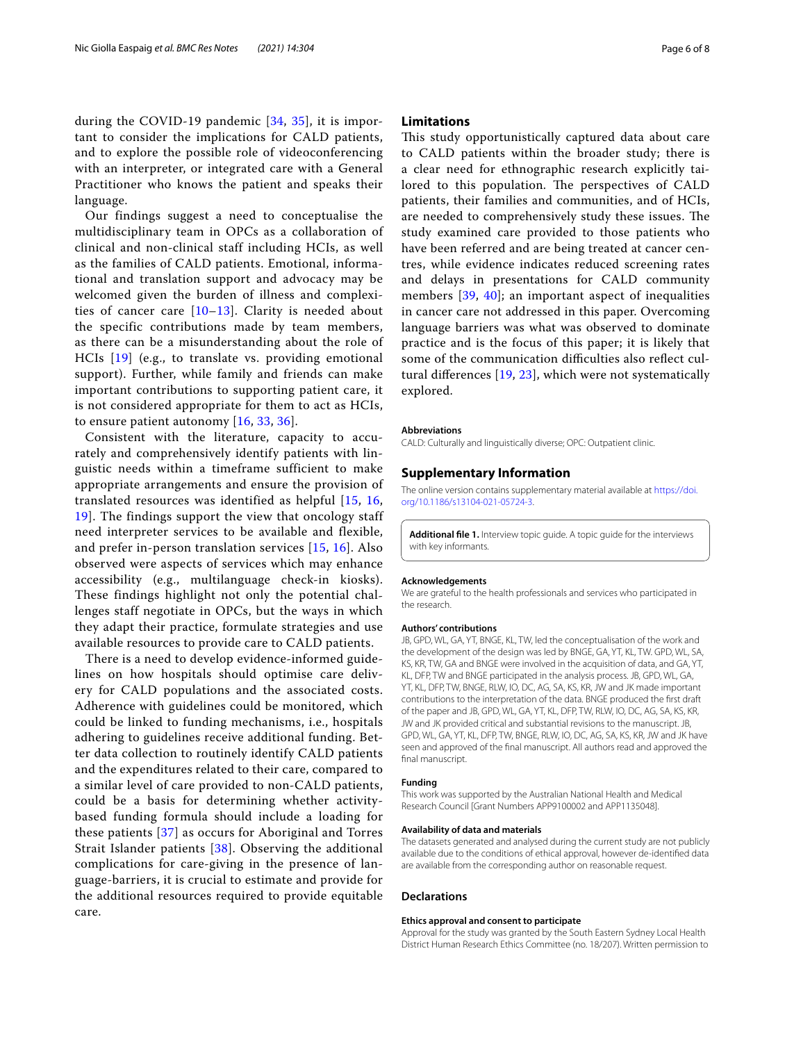during the COVID-19 pandemic [[34](#page-7-1), [35\]](#page-7-2), it is important to consider the implications for CALD patients, and to explore the possible role of videoconferencing with an interpreter, or integrated care with a General Practitioner who knows the patient and speaks their language.

Our findings suggest a need to conceptualise the multidisciplinary team in OPCs as a collaboration of clinical and non-clinical staff including HCIs, as well as the families of CALD patients. Emotional, informational and translation support and advocacy may be welcomed given the burden of illness and complexities of cancer care [[10](#page-6-6)–[13\]](#page-6-7). Clarity is needed about the specific contributions made by team members, as there can be a misunderstanding about the role of HCIs [[19](#page-6-14)] (e.g., to translate vs. providing emotional support). Further, while family and friends can make important contributions to supporting patient care, it is not considered appropriate for them to act as HCIs, to ensure patient autonomy [[16](#page-6-13), [33](#page-7-0), [36\]](#page-7-3).

Consistent with the literature, capacity to accurately and comprehensively identify patients with linguistic needs within a timeframe sufficient to make appropriate arrangements and ensure the provision of translated resources was identified as helpful [[15,](#page-6-15) [16](#page-6-13), [19\]](#page-6-14). The findings support the view that oncology staff need interpreter services to be available and flexible, and prefer in-person translation services [\[15](#page-6-15), [16\]](#page-6-13). Also observed were aspects of services which may enhance accessibility (e.g., multilanguage check-in kiosks). These findings highlight not only the potential challenges staff negotiate in OPCs, but the ways in which they adapt their practice, formulate strategies and use available resources to provide care to CALD patients.

There is a need to develop evidence-informed guidelines on how hospitals should optimise care delivery for CALD populations and the associated costs. Adherence with guidelines could be monitored, which could be linked to funding mechanisms, i.e., hospitals adhering to guidelines receive additional funding. Better data collection to routinely identify CALD patients and the expenditures related to their care, compared to a similar level of care provided to non-CALD patients, could be a basis for determining whether activitybased funding formula should include a loading for these patients [[37](#page-7-4)] as occurs for Aboriginal and Torres Strait Islander patients [[38](#page-7-5)]. Observing the additional complications for care-giving in the presence of language-barriers, it is crucial to estimate and provide for the additional resources required to provide equitable care.

# **Limitations**

This study opportunistically captured data about care to CALD patients within the broader study; there is a clear need for ethnographic research explicitly tailored to this population. The perspectives of CALD patients, their families and communities, and of HCIs, are needed to comprehensively study these issues. The study examined care provided to those patients who have been referred and are being treated at cancer centres, while evidence indicates reduced screening rates and delays in presentations for CALD community members [[39](#page-7-6), [40](#page-7-7)]; an important aspect of inequalities in cancer care not addressed in this paper. Overcoming language barriers was what was observed to dominate practice and is the focus of this paper; it is likely that some of the communication difficulties also reflect cultural diferences [[19,](#page-6-14) [23](#page-6-12)], which were not systematically explored.

#### **Abbreviations**

CALD: Culturally and linguistically diverse; OPC: Outpatient clinic.

#### **Supplementary Information**

The online version contains supplementary material available at [https://doi.](https://doi.org/10.1186/s13104-021-05724-3) [org/10.1186/s13104-021-05724-3](https://doi.org/10.1186/s13104-021-05724-3).

<span id="page-5-0"></span>**Additional fle 1.** Interview topic guide. A topic guide for the interviews with key informants.

#### **Acknowledgements**

We are grateful to the health professionals and services who participated in the research.

#### **Authors' contributions**

JB, GPD, WL, GA, YT, BNGE, KL, TW, led the conceptualisation of the work and the development of the design was led by BNGE, GA, YT, KL, TW. GPD, WL, SA, KS, KR, TW, GA and BNGE were involved in the acquisition of data, and GA, YT, KL, DFP, TW and BNGE participated in the analysis process. JB, GPD, WL, GA, YT, KL, DFP, TW, BNGE, RLW, IO, DC, AG, SA, KS, KR, JW and JK made important contributions to the interpretation of the data. BNGE produced the frst draft of the paper and JB, GPD, WL, GA, YT, KL, DFP, TW, RLW, IO, DC, AG, SA, KS, KR, JW and JK provided critical and substantial revisions to the manuscript. JB, GPD, WL, GA, YT, KL, DFP, TW, BNGE, RLW, IO, DC, AG, SA, KS, KR, JW and JK have seen and approved of the fnal manuscript. All authors read and approved the final manuscript.

#### **Funding**

This work was supported by the Australian National Health and Medical Research Council [Grant Numbers APP9100002 and APP1135048].

#### **Availability of data and materials**

The datasets generated and analysed during the current study are not publicly available due to the conditions of ethical approval, however de-identifed data are available from the corresponding author on reasonable request.

#### **Declarations**

#### **Ethics approval and consent to participate**

Approval for the study was granted by the South Eastern Sydney Local Health District Human Research Ethics Committee (no. 18/207). Written permission to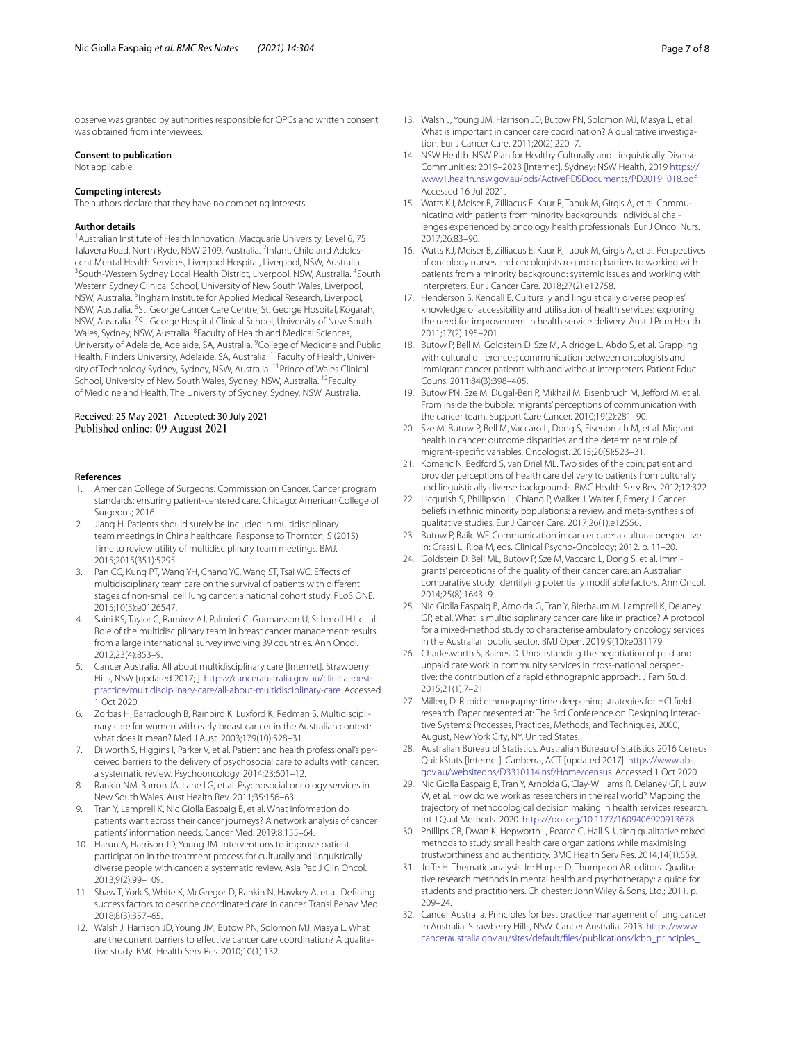observe was granted by authorities responsible for OPCs and written consent was obtained from interviewees.

#### **Consent to publication**

Not applicable.

#### **Competing interests**

The authors declare that they have no competing interests.

#### **Author details**

<sup>1</sup> Australian Institute of Health Innovation, Macquarie University, Level 6, 75 Talavera Road, North Ryde, NSW 2109, Australia. <sup>2</sup>Infant, Child and Adolescent Mental Health Services, Liverpool Hospital, Liverpool, NSW, Australia. <sup>3</sup> South-Western Sydney Local Health District, Liverpool, NSW, Australia. <sup>4</sup> South Western Sydney Clinical School, University of New South Wales, Liverpool, NSW, Australia. <sup>5</sup>Ingham Institute for Applied Medical Research, Liverpool, NSW, Australia. <sup>6</sup>St. George Cancer Care Centre, St. George Hospital, Kogarah, NSW, Australia. <sup>7</sup> St. George Hospital Clinical School, University of New South Wales, Sydney, NSW, Australia. <sup>8</sup> Faculty of Health and Medical Sciences, University of Adelaide, Adelaide, SA, Australia. <sup>9</sup>College of Medicine and Public Health, Flinders University, Adelaide, SA, Australia. 10Faculty of Health, University of Technology Sydney, Sydney, NSW, Australia. <sup>11</sup> Prince of Wales Clinical School, University of New South Wales, Sydney, NSW, Australia. <sup>12</sup>Faculty of Medicine and Health, The University of Sydney, Sydney, NSW, Australia.

## Received: 25 May 2021 Accepted: 30 July 2021 Published online: 09 August 2021

#### **References**

- <span id="page-6-0"></span>1. American College of Surgeons: Commission on Cancer. Cancer program standards: ensuring patient-centered care. Chicago: American College of Surgeons; 2016.
- 2. Jiang H. Patients should surely be included in multidisciplinary team meetings in China healthcare. Response to Thornton, S (2015) Time to review utility of multidisciplinary team meetings. BMJ. 2015;2015(351):5295.
- 3. Pan CC, Kung PT, Wang YH, Chang YC, Wang ST, Tsai WC. Efects of multidisciplinary team care on the survival of patients with diferent stages of non-small cell lung cancer: a national cohort study. PLoS ONE. 2015;10(5):e0126547.
- <span id="page-6-1"></span>4. Saini KS, Taylor C, Ramirez AJ, Palmieri C, Gunnarsson U, Schmoll HJ, et al. Role of the multidisciplinary team in breast cancer management: results from a large international survey involving 39 countries. Ann Oncol. 2012;23(4):853–9.
- <span id="page-6-2"></span>5. Cancer Australia. All about multidisciplinary care [Internet]. Strawberry Hills, NSW [updated 2017; ]. [https://canceraustralia.gov.au/clinical-best](https://canceraustralia.gov.au/clinical-best-practice/multidisciplinary-care/all-about-multidisciplinary-care)[practice/multidisciplinary-care/all-about-multidisciplinary-care](https://canceraustralia.gov.au/clinical-best-practice/multidisciplinary-care/all-about-multidisciplinary-care). Accessed 1 Oct 2020.
- <span id="page-6-3"></span>6. Zorbas H, Barraclough B, Rainbird K, Luxford K, Redman S. Multidisciplinary care for women with early breast cancer in the Australian context: what does it mean? Med J Aust. 2003;179(10):528–31.
- <span id="page-6-4"></span>7. Dilworth S, Higgins I, Parker V, et al. Patient and health professional's perceived barriers to the delivery of psychosocial care to adults with cancer: a systematic review. Psychooncology. 2014;23:601–12.
- 8. Rankin NM, Barron JA, Lane LG, et al. Psychosocial oncology services in New South Wales. Aust Health Rev. 2011;35:156–63.
- <span id="page-6-5"></span>9. Tran Y, Lamprell K, Nic Giolla Easpaig B, et al. What information do patients want across their cancer journeys? A network analysis of cancer patients' information needs. Cancer Med. 2019;8:155–64.
- <span id="page-6-6"></span>10. Harun A, Harrison JD, Young JM. Interventions to improve patient participation in the treatment process for culturally and linguistically diverse people with cancer: a systematic review. Asia Pac J Clin Oncol. 2013;9(2):99–109.
- 11. Shaw T, York S, White K, McGregor D, Rankin N, Hawkey A, et al. Defning success factors to describe coordinated care in cancer. Transl Behav Med. 2018;8(3):357–65.
- 12. Walsh J, Harrison JD, Young JM, Butow PN, Solomon MJ, Masya L. What are the current barriers to effective cancer care coordination? A qualitative study. BMC Health Serv Res. 2010;10(1):132.
- <span id="page-6-7"></span>13. Walsh J, Young JM, Harrison JD, Butow PN, Solomon MJ, Masya L, et al. What is important in cancer care coordination? A qualitative investigation. Eur J Cancer Care. 2011;20(2):220–7.
- <span id="page-6-8"></span>14. NSW Health. NSW Plan for Healthy Culturally and Linguistically Diverse Communities: 2019–2023 [Internet]. Sydney: NSW Health, 2019 [https://](https://www1.health.nsw.gov.au/pds/ActivePDSDocuments/PD2019_018.pdf) [www1.health.nsw.gov.au/pds/ActivePDSDocuments/PD2019\\_018.pdf](https://www1.health.nsw.gov.au/pds/ActivePDSDocuments/PD2019_018.pdf). Accessed 16 Jul 2021.
- <span id="page-6-15"></span>15. Watts KJ, Meiser B, Zilliacus E, Kaur R, Taouk M, Girgis A, et al. Communicating with patients from minority backgrounds: individual challenges experienced by oncology health professionals. Eur J Oncol Nurs. 2017;26:83–90.
- <span id="page-6-13"></span>16. Watts KJ, Meiser B, Zilliacus E, Kaur R, Taouk M, Girgis A, et al. Perspectives of oncology nurses and oncologists regarding barriers to working with patients from a minority background: systemic issues and working with interpreters. Eur J Cancer Care. 2018;27(2):e12758.
- <span id="page-6-10"></span>17. Henderson S, Kendall E. Culturally and linguistically diverse peoples' knowledge of accessibility and utilisation of health services: exploring the need for improvement in health service delivery. Aust J Prim Health. 2011;17(2):195–201.
- <span id="page-6-16"></span>18. Butow P, Bell M, Goldstein D, Sze M, Aldridge L, Abdo S, et al. Grappling with cultural diferences; communication between oncologists and immigrant cancer patients with and without interpreters. Patient Educ Couns. 2011;84(3):398–405.
- <span id="page-6-14"></span>19. Butow PN, Sze M, Dugal-Beri P, Mikhail M, Eisenbruch M, Jefford M, et al. From inside the bubble: migrants' perceptions of communication with the cancer team. Support Care Cancer. 2010;19(2):281–90.
- <span id="page-6-9"></span>20. Sze M, Butow P, Bell M, Vaccaro L, Dong S, Eisenbruch M, et al. Migrant health in cancer: outcome disparities and the determinant role of migrant-specifc variables. Oncologist. 2015;20(5):523–31.
- <span id="page-6-11"></span>21. Komaric N, Bedford S, van Driel ML. Two sides of the coin: patient and provider perceptions of health care delivery to patients from culturally and linguistically diverse backgrounds. BMC Health Serv Res. 2012;12:322.
- 22. Licqurish S, Phillipson L, Chiang P, Walker J, Walter F, Emery J. Cancer beliefs in ethnic minority populations: a review and meta-synthesis of qualitative studies. Eur J Cancer Care. 2017;26(1):e12556.
- <span id="page-6-12"></span>23. Butow P, Baile WF. Communication in cancer care: a cultural perspective. In: Grassi L, Riba M, eds. Clinical Psycho‐Oncology; 2012. p. 11–20.
- <span id="page-6-17"></span>24. Goldstein D, Bell ML, Butow P, Sze M, Vaccaro L, Dong S, et al. Immigrants' perceptions of the quality of their cancer care: an Australian comparative study, identifying potentially modifable factors. Ann Oncol. 2014;25(8):1643–9.
- <span id="page-6-18"></span>25. Nic Giolla Easpaig B, Arnolda G, Tran Y, Bierbaum M, Lamprell K, Delaney GP, et al. What is multidisciplinary cancer care like in practice? A protocol for a mixed-method study to characterise ambulatory oncology services in the Australian public sector. BMJ Open. 2019;9(10):e031179.
- <span id="page-6-19"></span>26. Charlesworth S, Baines D. Understanding the negotiation of paid and unpaid care work in community services in cross-national perspective: the contribution of a rapid ethnographic approach. J Fam Stud. 2015;21(1):7–21.
- <span id="page-6-20"></span>27. Millen, D. Rapid ethnography: time deepening strategies for HCI feld research. Paper presented at: The 3rd Conference on Designing Interactive Systems: Processes, Practices, Methods, and Techniques, 2000, August, New York City, NY, United States.
- <span id="page-6-21"></span>28. Australian Bureau of Statistics. Australian Bureau of Statistics 2016 Census QuickStats [Internet]. Canberra, ACT [updated 2017]. [https://www.abs.](https://www.abs.gov.au/websitedbs/D3310114.nsf/Home/census) [gov.au/websitedbs/D3310114.nsf/Home/census](https://www.abs.gov.au/websitedbs/D3310114.nsf/Home/census). Accessed 1 Oct 2020.
- <span id="page-6-22"></span>29. Nic Giolla Easpaig B, Tran Y, Arnolda G, Clay-Williams R, Delaney GP, Liauw W, et al. How do we work as researchers in the real world? Mapping the trajectory of methodological decision making in health services research. Int J Qual Methods. 2020. [https://doi.org/10.1177/1609406920913678.](https://doi.org/10.1177/1609406920913678)
- 30. Phillips CB, Dwan K, Hepworth J, Pearce C, Hall S. Using qualitative mixed methods to study small health care organizations while maximising trustworthiness and authenticity. BMC Health Serv Res. 2014;14(1):559.
- <span id="page-6-23"></span>31. Joffe H. Thematic analysis. In: Harper D, Thompson AR, editors. Qualitative research methods in mental health and psychotherapy: a guide for students and practitioners. Chichester: John Wiley & Sons, Ltd.; 2011. p. 209–24.
- <span id="page-6-24"></span>32. Cancer Australia. Principles for best practice management of lung cancer in Australia. Strawberry Hills, NSW. Cancer Australia, 2013. [https://www.](https://www.canceraustralia.gov.au/sites/default/files/publications/lcbp_principles_for_best_practice_management_of_lung_cancer_in_australia_52d60ed4c2a0d.pdf) [canceraustralia.gov.au/sites/default/fles/publications/lcbp\\_principles\\_](https://www.canceraustralia.gov.au/sites/default/files/publications/lcbp_principles_for_best_practice_management_of_lung_cancer_in_australia_52d60ed4c2a0d.pdf)